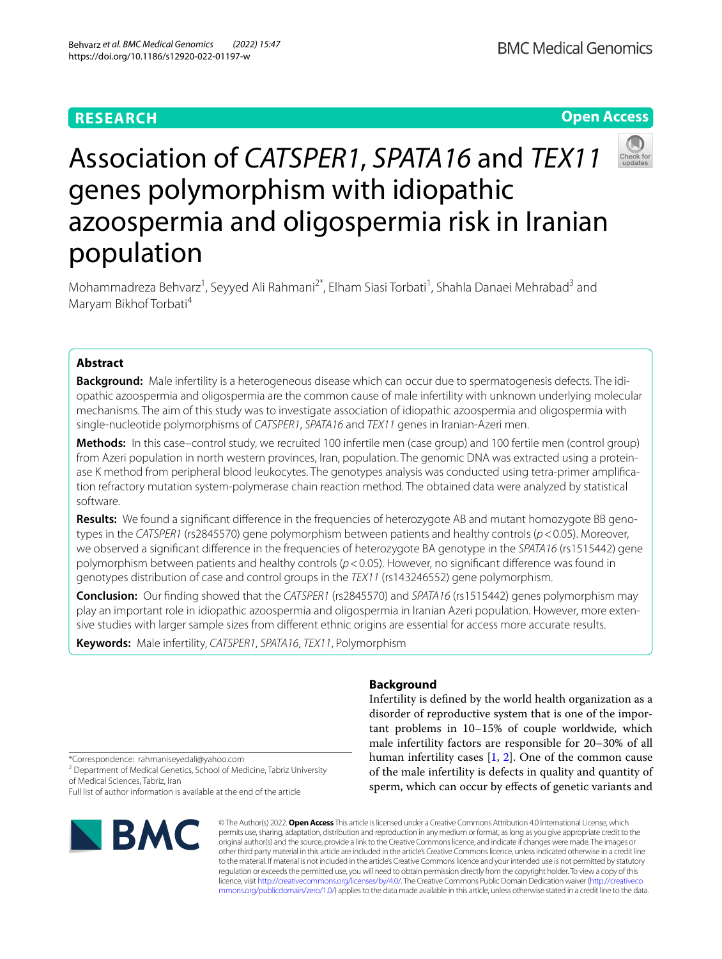# **RESEARCH**

**BMC Medical Genomics** 

# **Open Access**



# Association of *CATSPER1*, *SPATA16* and *TEX11* genes polymorphism with idiopathic azoospermia and oligospermia risk in Iranian population

Mohammadreza Behvarz<sup>1</sup>, Seyyed Ali Rahmani<sup>2\*</sup>, Elham Siasi Torbati<sup>1</sup>, Shahla Danaei Mehrabad<sup>3</sup> and Maryam Bikhof Torbati4

# **Abstract**

**Background:** Male infertility is a heterogeneous disease which can occur due to spermatogenesis defects. The idiopathic azoospermia and oligospermia are the common cause of male infertility with unknown underlying molecular mechanisms. The aim of this study was to investigate association of idiopathic azoospermia and oligospermia with single-nucleotide polymorphisms of *CATSPER1*, *SPATA16* and *TEX11* genes in Iranian-Azeri men.

**Methods:** In this case–control study, we recruited 100 infertile men (case group) and 100 fertile men (control group) from Azeri population in north western provinces, Iran, population. The genomic DNA was extracted using a proteinase K method from peripheral blood leukocytes. The genotypes analysis was conducted using tetra-primer amplifcation refractory mutation system-polymerase chain reaction method. The obtained data were analyzed by statistical software.

**Results:** We found a signifcant diference in the frequencies of heterozygote AB and mutant homozygote BB genotypes in the *CATSPER1* (rs2845570) gene polymorphism between patients and healthy controls (*p*<0.05). Moreover, we observed a signifcant diference in the frequencies of heterozygote BA genotype in the *SPATA16* (rs1515442) gene polymorphism between patients and healthy controls (*p*<0.05). However, no signifcant diference was found in genotypes distribution of case and control groups in the *TEX11* (rs143246552) gene polymorphism.

**Conclusion:** Our fnding showed that the *CATSPER1* (rs2845570) and *SPATA16* (rs1515442) genes polymorphism may play an important role in idiopathic azoospermia and oligospermia in Iranian Azeri population. However, more extensive studies with larger sample sizes from diferent ethnic origins are essential for access more accurate results.

**Keywords:** Male infertility, *CATSPER1*, *SPATA16*, *TEX11*, Polymorphism

# **Background**

Infertility is defned by the world health organization as a disorder of reproductive system that is one of the important problems in 10–15% of couple worldwide, which male infertility factors are responsible for 20–30% of all human infertility cases [\[1](#page-5-0), [2](#page-5-1)]. One of the common cause of the male infertility is defects in quality and quantity of sperm, which can occur by efects of genetic variants and

\*Correspondence: rahmaniseyedali@yahoo.com

<sup>2</sup> Department of Medical Genetics, School of Medicine, Tabriz University of Medical Sciences, Tabriz, Iran

Full list of author information is available at the end of the article



© The Author(s) 2022. **Open Access** This article is licensed under a Creative Commons Attribution 4.0 International License, which permits use, sharing, adaptation, distribution and reproduction in any medium or format, as long as you give appropriate credit to the original author(s) and the source, provide a link to the Creative Commons licence, and indicate if changes were made. The images or other third party material in this article are included in the article's Creative Commons licence, unless indicated otherwise in a credit line to the material. If material is not included in the article's Creative Commons licence and your intended use is not permitted by statutory regulation or exceeds the permitted use, you will need to obtain permission directly from the copyright holder. To view a copy of this licence, visit [http://creativecommons.org/licenses/by/4.0/.](http://creativecommons.org/licenses/by/4.0/) The Creative Commons Public Domain Dedication waiver ([http://creativeco](http://creativecommons.org/publicdomain/zero/1.0/) [mmons.org/publicdomain/zero/1.0/](http://creativecommons.org/publicdomain/zero/1.0/)) applies to the data made available in this article, unless otherwise stated in a credit line to the data.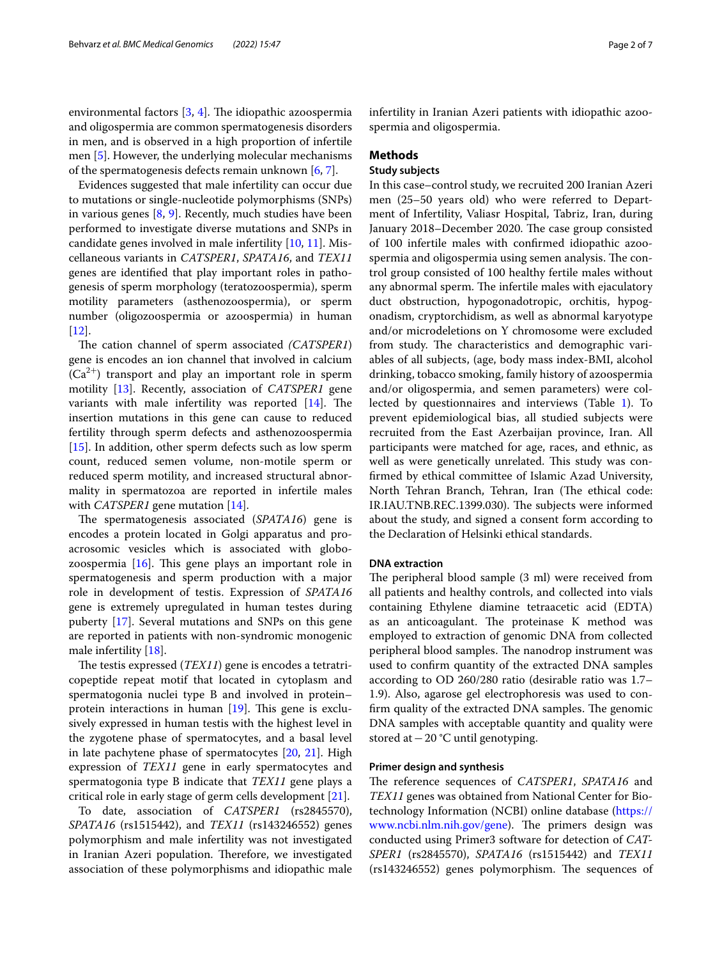environmental factors  $[3, 4]$  $[3, 4]$  $[3, 4]$  $[3, 4]$ . The idiopathic azoospermia and oligospermia are common spermatogenesis disorders in men, and is observed in a high proportion of infertile men [\[5](#page-6-0)]. However, the underlying molecular mechanisms of the spermatogenesis defects remain unknown [\[6](#page-6-1), [7\]](#page-6-2).

Evidences suggested that male infertility can occur due to mutations or single-nucleotide polymorphisms (SNPs) in various genes [\[8](#page-6-3), [9](#page-6-4)]. Recently, much studies have been performed to investigate diverse mutations and SNPs in candidate genes involved in male infertility [[10](#page-6-5), [11](#page-6-6)]. Miscellaneous variants in *CATSPER1*, *SPATA16*, and *TEX11* genes are identifed that play important roles in pathogenesis of sperm morphology (teratozoospermia), sperm motility parameters (asthenozoospermia), or sperm number (oligozoospermia or azoospermia) in human [[12\]](#page-6-7).

The cation channel of sperm associated *(CATSPER1)* gene is encodes an ion channel that involved in calcium  $(Ca^{2+})$  transport and play an important role in sperm motility [[13](#page-6-8)]. Recently, association of *CATSPER1* gene variants with male infertility was reported  $[14]$ . The insertion mutations in this gene can cause to reduced fertility through sperm defects and asthenozoospermia [[15\]](#page-6-10). In addition, other sperm defects such as low sperm count, reduced semen volume, non-motile sperm or reduced sperm motility, and increased structural abnormality in spermatozoa are reported in infertile males with *CATSPER1* gene mutation [\[14](#page-6-9)].

The spermatogenesis associated (*SPATA16*) gene is encodes a protein located in Golgi apparatus and proacrosomic vesicles which is associated with globozoospermia  $[16]$ . This gene plays an important role in spermatogenesis and sperm production with a major role in development of testis. Expression of *SPATA16* gene is extremely upregulated in human testes during puberty [[17\]](#page-6-12). Several mutations and SNPs on this gene are reported in patients with non-syndromic monogenic male infertility [\[18](#page-6-13)].

The testis expressed (*TEX11*) gene is encodes a tetratricopeptide repeat motif that located in cytoplasm and spermatogonia nuclei type B and involved in protein– protein interactions in human  $[19]$  $[19]$ . This gene is exclusively expressed in human testis with the highest level in the zygotene phase of spermatocytes, and a basal level in late pachytene phase of spermatocytes [[20,](#page-6-15) [21](#page-6-16)]. High expression of *TEX11* gene in early spermatocytes and spermatogonia type B indicate that *TEX11* gene plays a critical role in early stage of germ cells development [[21](#page-6-16)].

To date, association of *CATSPER1* (rs2845570), *SPATA16* (rs1515442), and *TEX11* (rs143246552) genes polymorphism and male infertility was not investigated in Iranian Azeri population. Therefore, we investigated association of these polymorphisms and idiopathic male infertility in Iranian Azeri patients with idiopathic azoospermia and oligospermia.

# **Methods**

# **Study subjects**

In this case–control study, we recruited 200 Iranian Azeri men (25–50 years old) who were referred to Department of Infertility, Valiasr Hospital, Tabriz, Iran, during January 2018–December 2020. The case group consisted of 100 infertile males with confrmed idiopathic azoospermia and oligospermia using semen analysis. The control group consisted of 100 healthy fertile males without any abnormal sperm. The infertile males with ejaculatory duct obstruction, hypogonadotropic, orchitis, hypogonadism, cryptorchidism, as well as abnormal karyotype and/or microdeletions on Y chromosome were excluded from study. The characteristics and demographic variables of all subjects, (age, body mass index-BMI, alcohol drinking, tobacco smoking, family history of azoospermia and/or oligospermia, and semen parameters) were collected by questionnaires and interviews (Table [1](#page-2-0)). To prevent epidemiological bias, all studied subjects were recruited from the East Azerbaijan province, Iran. All participants were matched for age, races, and ethnic, as well as were genetically unrelated. This study was confrmed by ethical committee of Islamic Azad University, North Tehran Branch, Tehran, Iran (The ethical code: IR.IAU.TNB.REC.1399.030). The subjects were informed about the study, and signed a consent form according to the Declaration of Helsinki ethical standards.

# **DNA extraction**

The peripheral blood sample (3 ml) were received from all patients and healthy controls, and collected into vials containing Ethylene diamine tetraacetic acid (EDTA) as an anticoagulant. The proteinase K method was employed to extraction of genomic DNA from collected peripheral blood samples. The nanodrop instrument was used to confrm quantity of the extracted DNA samples according to OD 260/280 ratio (desirable ratio was 1.7– 1.9). Also, agarose gel electrophoresis was used to confirm quality of the extracted DNA samples. The genomic DNA samples with acceptable quantity and quality were stored at−20 °C until genotyping.

## **Primer design and synthesis**

The reference sequences of *CATSPER1*, *SPATA16* and *TEX11* genes was obtained from National Center for Biotechnology Information (NCBI) online database [\(https://](https://www.ncbi.nlm.nih.gov/gene) [www.ncbi.nlm.nih.gov/gene\)](https://www.ncbi.nlm.nih.gov/gene). The primers design was conducted using Primer3 software for detection of *CAT-SPER1* (rs2845570), *SPATA16* (rs1515442) and *TEX11*  $(rs143246552)$  genes polymorphism. The sequences of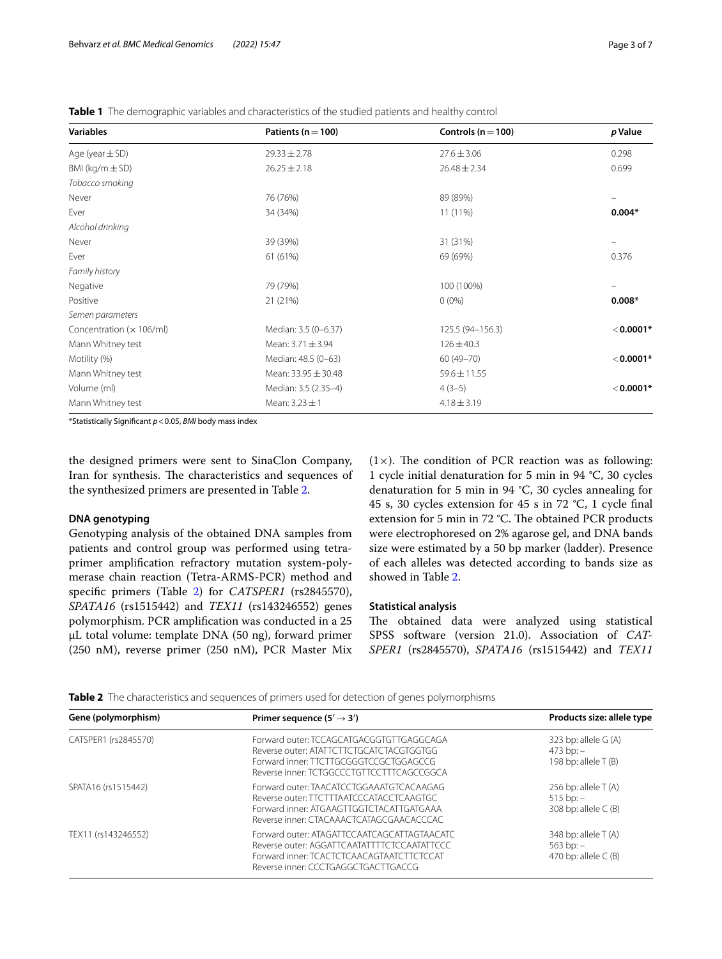<span id="page-2-0"></span>**Table 1** The demographic variables and characteristics of the studied patients and healthy control

| <b>Variables</b>           | Patients ( $n = 100$ ) | Controls ( $n = 100$ ) | p Value     |
|----------------------------|------------------------|------------------------|-------------|
| Age (year $\pm$ SD)        | $29.33 \pm 2.78$       | $27.6 \pm 3.06$        | 0.298       |
| BMI ( $kg/m \pm SD$ )      | $26.25 \pm 2.18$       | $26.48 \pm 2.34$       | 0.699       |
| Tobacco smoking            |                        |                        |             |
| Never                      | 76 (76%)               | 89 (89%)               |             |
| Ever                       | 34 (34%)               | 11 (11%)               | $0.004*$    |
| Alcohol drinking           |                        |                        |             |
| Never                      | 39 (39%)               | 31 (31%)               |             |
| Ever                       | 61 (61%)               | 69 (69%)               | 0.376       |
| Family history             |                        |                        |             |
| Negative                   | 79 (79%)               | 100 (100%)             |             |
| Positive                   | 21 (21%)               | $0(0\%)$               | $0.008*$    |
| Semen parameters           |                        |                        |             |
| Concentration $(x 106/ml)$ | Median: 3.5 (0-6.37)   | 125.5 (94-156.3)       | $< 0.0001*$ |
| Mann Whitney test          | Mean: $3.71 \pm 3.94$  | $126 \pm 40.3$         |             |
| Motility (%)               | Median: 48.5 (0-63)    | $60(49 - 70)$          | $< 0.0001*$ |
| Mann Whitney test          | Mean: 33.95 ± 30.48    | $59.6 \pm 11.55$       |             |
| Volume (ml)                | Median: 3.5 (2.35-4)   | $4(3-5)$               | $< 0.0001*$ |
| Mann Whitney test          | Mean: 3.23 ± 1         | $4.18 \pm 3.19$        |             |

\*Statistically Signifcant *p*<0.05, *BMI* body mass index

the designed primers were sent to SinaClon Company, Iran for synthesis. The characteristics and sequences of the synthesized primers are presented in Table [2.](#page-2-1)

# **DNA genotyping**

Genotyping analysis of the obtained DNA samples from patients and control group was performed using tetraprimer amplifcation refractory mutation system-polymerase chain reaction (Tetra-ARMS-PCR) method and specific primers (Table [2](#page-2-1)) for *CATSPER1* (rs2845570), *SPATA16* (rs1515442) and *TEX11* (rs143246552) genes polymorphism. PCR amplifcation was conducted in a 25 μL total volume: template DNA (50 ng), forward primer (250 nM), reverse primer (250 nM), PCR Master Mix  $(1\times)$ . The condition of PCR reaction was as following: 1 cycle initial denaturation for 5 min in 94 °C, 30 cycles denaturation for 5 min in 94 °C, 30 cycles annealing for 45 s, 30 cycles extension for 45 s in 72 °C, 1 cycle fnal extension for 5 min in 72 °C. The obtained PCR products were electrophoresed on 2% agarose gel, and DNA bands size were estimated by a 50 bp marker (ladder). Presence of each alleles was detected according to bands size as showed in Table [2.](#page-2-1)

# **Statistical analysis**

The obtained data were analyzed using statistical SPSS software (version 21.0). Association of *CAT-SPER1* (rs2845570), *SPATA16* (rs1515442) and *TEX11*

<span id="page-2-1"></span>**Table 2** The characteristics and sequences of primers used for detection of genes polymorphisms

| Gene (polymorphism)  | Primer sequence $(5' \rightarrow 3')$                                                                                                                                          | Products size: allele type                                             |  |  |
|----------------------|--------------------------------------------------------------------------------------------------------------------------------------------------------------------------------|------------------------------------------------------------------------|--|--|
| CATSPER1 (rs2845570) | Forward outer: TCCAGCATGACGGTGTTGAGGCAGA<br>Reverse outer: ATATTCTTCTGCATCTACGTGGTGG<br>Forward inner: TTCTTGCGGGTCCGCTGGAGCCG<br>Reverse inner: TCTGGCCCTGTTCCTTTCAGCCGGCA    | 323 bp: allele $G(A)$<br>$473$ bp: $-$<br>198 bp: allele T (B)         |  |  |
| SPATA16 (rs1515442)  | Forward outer: TAACATCCTGGAAATGTCACAAGAG<br>Reverse outer: TTCTTTAATCCCATACCTCAAGTGC<br>Forward inner: ATGAAGTTGGTCTACATTGATGAAA<br>Reverse inner: CTACAAACTCATAGCGAACACCCAC   | 256 bp: allele $T(A)$<br>$515$ bp: $-$<br>308 bp: allele $\subset$ (B) |  |  |
| TEX11 (rs143246552)  | Forward outer: ATAGATTCCAATCAGCATTAGTAACATC<br>Reverse outer: AGGATTCAATATTTTCTCCAATATTCCC<br>Forward inner: TCACTCTCAACAGTAATCTTCTCCAT<br>Reverse inner: CCCTGAGGCTGACTTGACCG | 348 bp: allele $T(A)$<br>$563$ bp: $-$<br>470 bp: allele $\subset$ (B) |  |  |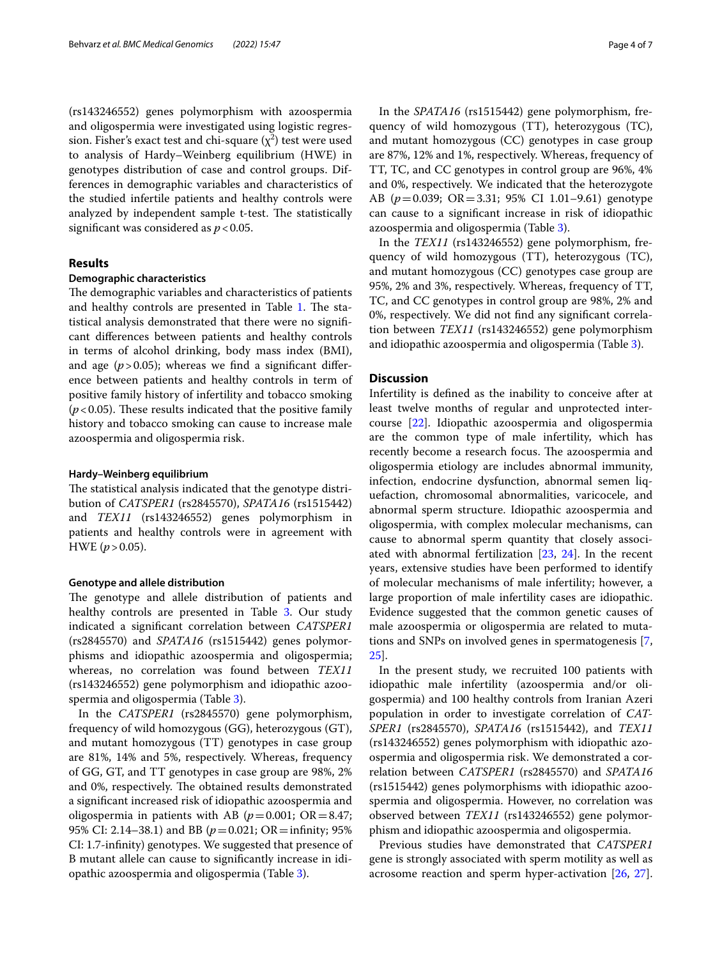(rs143246552) genes polymorphism with azoospermia and oligospermia were investigated using logistic regression. Fisher's exact test and chi-square  $(\chi^2)$  test were used to analysis of Hardy–Weinberg equilibrium (HWE) in genotypes distribution of case and control groups. Differences in demographic variables and characteristics of the studied infertile patients and healthy controls were analyzed by independent sample t-test. The statistically significant was considered as  $p < 0.05$ .

# **Results**

# **Demographic characteristics**

The demographic variables and characteristics of patients and healthy controls are presented in Table [1](#page-2-0). The statistical analysis demonstrated that there were no signifcant diferences between patients and healthy controls in terms of alcohol drinking, body mass index (BMI), and age  $(p > 0.05)$ ; whereas we find a significant difference between patients and healthy controls in term of positive family history of infertility and tobacco smoking  $(p<0.05)$ . These results indicated that the positive family history and tobacco smoking can cause to increase male azoospermia and oligospermia risk.

## **Hardy–Weinberg equilibrium**

The statistical analysis indicated that the genotype distribution of *CATSPER1* (rs2845570), *SPATA16* (rs1515442) and *TEX11* (rs143246552) genes polymorphism in patients and healthy controls were in agreement with HWE  $(p > 0.05)$ .

## **Genotype and allele distribution**

The genotype and allele distribution of patients and healthy controls are presented in Table [3](#page-4-0). Our study indicated a signifcant correlation between *CATSPER1* (rs2845570) and *SPATA16* (rs1515442) genes polymorphisms and idiopathic azoospermia and oligospermia; whereas, no correlation was found between *TEX11* (rs143246552) gene polymorphism and idiopathic azoospermia and oligospermia (Table [3\)](#page-4-0).

In the *CATSPER1* (rs2845570) gene polymorphism, frequency of wild homozygous (GG), heterozygous (GT), and mutant homozygous (TT) genotypes in case group are 81%, 14% and 5%, respectively. Whereas, frequency of GG, GT, and TT genotypes in case group are 98%, 2% and 0%, respectively. The obtained results demonstrated a signifcant increased risk of idiopathic azoospermia and oligospermia in patients with AB ( $p = 0.001$ ; OR = 8.47; 95% CI: 2.14–38.1) and BB ( $p = 0.021$ ; OR = infinity; 95% CI: 1.7-infnity) genotypes. We suggested that presence of B mutant allele can cause to signifcantly increase in idiopathic azoospermia and oligospermia (Table [3\)](#page-4-0).

In the *SPATA16* (rs1515442) gene polymorphism, frequency of wild homozygous (TT), heterozygous (TC), and mutant homozygous (CC) genotypes in case group are 87%, 12% and 1%, respectively. Whereas, frequency of TT, TC, and CC genotypes in control group are 96%, 4% and 0%, respectively. We indicated that the heterozygote AB (*p*=0.039; OR=3.31; 95% CI 1.01–9.61) genotype can cause to a signifcant increase in risk of idiopathic azoospermia and oligospermia (Table [3\)](#page-4-0).

In the *TEX11* (rs143246552) gene polymorphism, frequency of wild homozygous (TT), heterozygous (TC), and mutant homozygous (CC) genotypes case group are 95%, 2% and 3%, respectively. Whereas, frequency of TT, TC, and CC genotypes in control group are 98%, 2% and 0%, respectively. We did not fnd any signifcant correlation between *TEX11* (rs143246552) gene polymorphism and idiopathic azoospermia and oligospermia (Table [3\)](#page-4-0).

# **Discussion**

Infertility is defned as the inability to conceive after at least twelve months of regular and unprotected intercourse [\[22\]](#page-6-17). Idiopathic azoospermia and oligospermia are the common type of male infertility, which has recently become a research focus. The azoospermia and oligospermia etiology are includes abnormal immunity, infection, endocrine dysfunction, abnormal semen liquefaction, chromosomal abnormalities, varicocele, and abnormal sperm structure. Idiopathic azoospermia and oligospermia, with complex molecular mechanisms, can cause to abnormal sperm quantity that closely associated with abnormal fertilization [\[23,](#page-6-18) [24](#page-6-19)]. In the recent years, extensive studies have been performed to identify of molecular mechanisms of male infertility; however, a large proportion of male infertility cases are idiopathic. Evidence suggested that the common genetic causes of male azoospermia or oligospermia are related to mutations and SNPs on involved genes in spermatogenesis [\[7](#page-6-2), [25\]](#page-6-20).

In the present study, we recruited 100 patients with idiopathic male infertility (azoospermia and/or oligospermia) and 100 healthy controls from Iranian Azeri population in order to investigate correlation of *CAT-SPER1* (rs2845570), *SPATA16* (rs1515442), and *TEX11* (rs143246552) genes polymorphism with idiopathic azoospermia and oligospermia risk. We demonstrated a correlation between *CATSPER1* (rs2845570) and *SPATA16* (rs1515442) genes polymorphisms with idiopathic azoospermia and oligospermia. However, no correlation was observed between *TEX11* (rs143246552) gene polymorphism and idiopathic azoospermia and oligospermia.

Previous studies have demonstrated that *CATSPER1* gene is strongly associated with sperm motility as well as acrosome reaction and sperm hyper-activation [[26](#page-6-21), [27](#page-6-22)].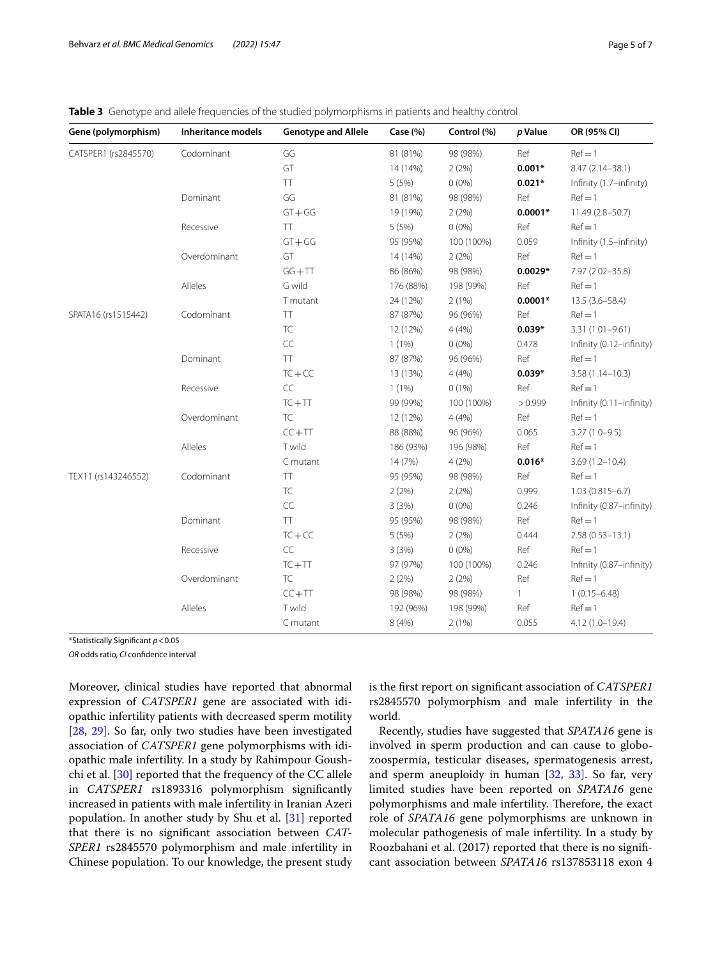# <span id="page-4-0"></span>**Table 3** Genotype and allele frequencies of the studied polymorphisms in patients and healthy control

| Gene (polymorphism)  | Inheritance models | <b>Genotype and Allele</b> | Case (%)  | Control (%) | p Value      | OR (95% CI)              |
|----------------------|--------------------|----------------------------|-----------|-------------|--------------|--------------------------|
| CATSPER1 (rs2845570) | Codominant         | GG                         | 81 (81%)  | 98 (98%)    | Ref          | $Ref = 1$                |
|                      |                    | GT                         | 14 (14%)  | 2(2%)       | $0.001*$     | $8.47(2.14 - 38.1)$      |
|                      |                    | <b>TT</b>                  | 5(5%)     | $0(0\%)$    | $0.021*$     | Infinity (1.7-infinity)  |
|                      | Dominant           | GG                         | 81 (81%)  | 98 (98%)    | Ref          | $Ref = 1$                |
|                      |                    | $GT + GG$                  | 19 (19%)  | 2(2%)       | $0.0001*$    | 11.49 (2.8-50.7)         |
|                      | Recessive          | TT.                        | 5(5%)     | $0(0\%)$    | Ref          | $Ref = 1$                |
|                      |                    | $GT + GG$                  | 95 (95%)  | 100 (100%)  | 0.059        | Infinity (1.5-infinity)  |
|                      | Overdominant       | GT                         | 14 (14%)  | 2(2%)       | Ref          | $Ref = 1$                |
|                      |                    | $GG + TT$                  | 86 (86%)  | 98 (98%)    | $0.0029*$    | 7.97 (2.02-35.8)         |
|                      | Alleles            | G wild                     | 176 (88%) | 198 (99%)   | Ref          | $Ref = 1$                |
|                      |                    | T mutant                   | 24 (12%)  | 2(1%)       | $0.0001*$    | $13.5(3.6 - 58.4)$       |
| SPATA16 (rs1515442)  | Codominant         | TT                         | 87 (87%)  | 96 (96%)    | Ref          | $Ref = 1$                |
|                      |                    | <b>TC</b>                  | 12 (12%)  | 4(4%)       | $0.039*$     | 3.31 (1.01-9.61)         |
|                      |                    | $\subset \subset$          | $1(1\%)$  | $0(0\%)$    | 0.478        | Infinity (0.12-infinity) |
|                      | Dominant           | TT.                        | 87 (87%)  | 96 (96%)    | Ref          | $Ref = 1$                |
|                      |                    | $TC + CC$                  | 13 (13%)  | 4(4%)       | $0.039*$     | $3.58(1.14 - 10.3)$      |
|                      | Recessive          | CC                         | $1(1\%)$  | 0(1%)       | Ref          | $Ref = 1$                |
|                      |                    | $TC + TT$                  | 99 (99%)  | 100 (100%)  | > 0.999      | Infinity (0.11-infinity) |
|                      | Overdominant       | <b>TC</b>                  | 12 (12%)  | 4(4%)       | Ref          | $Ref = 1$                |
|                      |                    | $CC + TT$                  | 88 (88%)  | 96 (96%)    | 0.065        | $3.27(1.0-9.5)$          |
|                      | Alleles            | T wild                     | 186 (93%) | 196 (98%)   | Ref          | $Ref = 1$                |
|                      |                    | C mutant                   | 14 (7%)   | 4(2%)       | $0.016*$     | $3.69(1.2 - 10.4)$       |
| TEX11 (rs143246552)  | Codominant         | TT                         | 95 (95%)  | 98 (98%)    | Ref          | $Ref = 1$                |
|                      |                    | <b>TC</b>                  | 2(2%)     | 2(2%)       | 0.999        | $1.03(0.815 - 6.7)$      |
|                      |                    | CC                         | 3(3%)     | $0(0\%)$    | 0.246        | Infinity (0.87-infinity) |
|                      | Dominant           | TT                         | 95 (95%)  | 98 (98%)    | Ref          | $Ref = 1$                |
|                      |                    | $TC + CC$                  | 5(5%)     | 2(2%)       | 0.444        | $2.58(0.53 - 13.1)$      |
|                      | Recessive          | CC                         | 3(3%)     | $0(0\%)$    | Ref          | $Ref = 1$                |
|                      |                    | $TC + TT$                  | 97 (97%)  | 100 (100%)  | 0.246        | Infinity (0.87-infinity) |
|                      | Overdominant       | TC                         | 2(2%)     | 2(2%)       | Ref          | $Ref = 1$                |
|                      |                    | $CC + TT$                  | 98 (98%)  | 98 (98%)    | $\mathbf{1}$ | $1(0.15 - 6.48)$         |
|                      | Alleles            | T wild                     | 192 (96%) | 198 (99%)   | Ref          | $Ref = 1$                |
|                      |                    | C mutant                   | 8 (4%)    | 2(1%)       | 0.055        | $4.12(1.0 - 19.4)$       |

\*Statistically Signifcant *p*<0.05

*OR* odds ratio, *CI* confdence interval

Moreover, clinical studies have reported that abnormal expression of *CATSPER1* gene are associated with idiopathic infertility patients with decreased sperm motility [[28,](#page-6-23) [29](#page-6-24)]. So far, only two studies have been investigated association of *CATSPER1* gene polymorphisms with idiopathic male infertility. In a study by Rahimpour Goushchi et al. [[30](#page-6-25)] reported that the frequency of the CC allele in *CATSPER1* rs1893316 polymorphism signifcantly increased in patients with male infertility in Iranian Azeri population. In another study by Shu et al. [\[31](#page-6-26)] reported that there is no signifcant association between *CAT-SPER1* rs2845570 polymorphism and male infertility in Chinese population. To our knowledge, the present study is the frst report on signifcant association of *CATSPER1* rs2845570 polymorphism and male infertility in the world.

Recently, studies have suggested that *SPATA16* gene is involved in sperm production and can cause to globozoospermia, testicular diseases, spermatogenesis arrest, and sperm aneuploidy in human [[32,](#page-6-27) [33](#page-6-28)]. So far, very limited studies have been reported on *SPATA16* gene polymorphisms and male infertility. Therefore, the exact role of *SPATA16* gene polymorphisms are unknown in molecular pathogenesis of male infertility. In a study by Roozbahani et al. (2017) reported that there is no signifcant association between *SPATA16* rs137853118 exon 4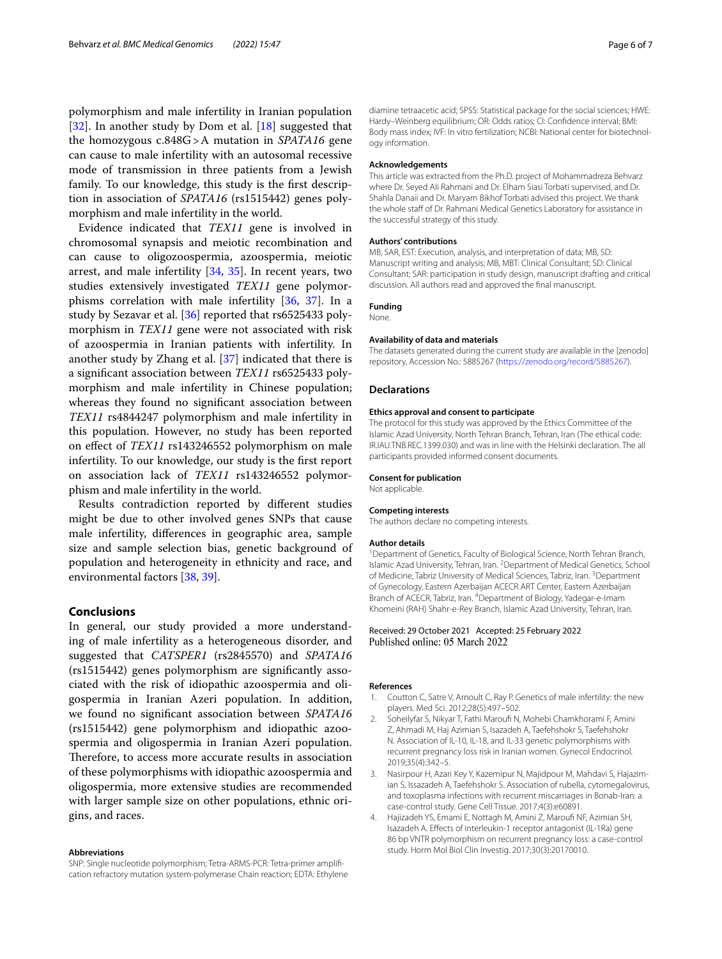polymorphism and male infertility in Iranian population [[32\]](#page-6-27). In another study by Dom et al. [[18\]](#page-6-13) suggested that the homozygous c.848G>A mutation in *SPATA16* gene can cause to male infertility with an autosomal recessive mode of transmission in three patients from a Jewish family. To our knowledge, this study is the frst description in association of *SPATA16* (rs1515442) genes polymorphism and male infertility in the world.

Evidence indicated that *TEX11* gene is involved in chromosomal synapsis and meiotic recombination and can cause to oligozoospermia, azoospermia, meiotic arrest, and male infertility [[34](#page-6-29), [35](#page-6-30)]. In recent years, two studies extensively investigated *TEX11* gene polymorphisms correlation with male infertility [[36,](#page-6-31) [37\]](#page-6-32). In a study by Sezavar et al. [\[36](#page-6-31)] reported that rs6525433 polymorphism in *TEX11* gene were not associated with risk of azoospermia in Iranian patients with infertility. In another study by Zhang et al. [\[37](#page-6-32)] indicated that there is a signifcant association between *TEX11* rs6525433 polymorphism and male infertility in Chinese population; whereas they found no signifcant association between *TEX11* rs4844247 polymorphism and male infertility in this population. However, no study has been reported on efect of *TEX11* rs143246552 polymorphism on male infertility. To our knowledge, our study is the frst report on association lack of *TEX11* rs143246552 polymorphism and male infertility in the world.

Results contradiction reported by diferent studies might be due to other involved genes SNPs that cause male infertility, diferences in geographic area, sample size and sample selection bias, genetic background of population and heterogeneity in ethnicity and race, and environmental factors [\[38,](#page-6-33) [39](#page-6-34)].

# **Conclusions**

In general, our study provided a more understanding of male infertility as a heterogeneous disorder, and suggested that *CATSPER1* (rs2845570) and *SPATA16* (rs1515442) genes polymorphism are signifcantly associated with the risk of idiopathic azoospermia and oligospermia in Iranian Azeri population. In addition, we found no signifcant association between *SPATA16* (rs1515442) gene polymorphism and idiopathic azoospermia and oligospermia in Iranian Azeri population. Therefore, to access more accurate results in association of these polymorphisms with idiopathic azoospermia and oligospermia, more extensive studies are recommended with larger sample size on other populations, ethnic origins, and races.

#### **Abbreviations**

SNP: Single nucleotide polymorphism; Tetra-ARMS-PCR: Tetra-primer amplifcation refractory mutation system-polymerase Chain reaction; EDTA: Ethylene

diamine tetraacetic acid; SPSS: Statistical package for the social sciences; HWE: Hardy–Weinberg equilibrium; OR: Odds ratios; CI: Confdence interval; BMI: Body mass index; IVF: In vitro fertilization; NCBI: National center for biotechnology information.

## **Acknowledgements**

This article was extracted from the Ph.D. project of Mohammadreza Behvarz where Dr. Seyed Ali Rahmani and Dr. Elham Siasi Torbati supervised, and Dr. Shahla Danaii and Dr. Maryam Bikhof Torbati advised this project. We thank the whole staff of Dr. Rahmani Medical Genetics Laboratory for assistance in the successful strategy of this study.

#### **Authors' contributions**

MB, SAR, EST: Execution, analysis, and interpretation of data; MB, SD: Manuscript writing and analysis; MB, MBT: Clinical Consultant; SD: Clinical Consultant; SAR: participation in study design, manuscript drafting and critical discussion. All authors read and approved the fnal manuscript.

#### **Funding** None.

## **Availability of data and materials**

The datasets generated during the current study are available in the [zenodo] repository, Accession No.: 5885267 [\(https://zenodo.org/record/5885267\)](https://zenodo.org/record/5885267).

## **Declarations**

#### **Ethics approval and consent to participate**

The protocol for this study was approved by the Ethics Committee of the Islamic Azad University, North Tehran Branch, Tehran, Iran (The ethical code: IR.IAU.TNB.REC.1399.030) and was in line with the Helsinki declaration. The all participants provided informed consent documents.

#### **Consent for publication**

Not applicable.

#### **Competing interests**

The authors declare no competing interests.

#### **Author details**

<sup>1</sup> Department of Genetics, Faculty of Biological Science, North Tehran Branch, Islamic Azad University, Tehran, Iran. <sup>2</sup> Department of Medical Genetics, School of Medicine, Tabriz University of Medical Sciences, Tabriz, Iran. <sup>3</sup> Department of Gynecology, Eastern Azerbaijan ACECR ART Center, Eastern Azerbaijan Branch of ACECR, Tabriz, Iran. 4 Department of Biology, Yadegar-e-Imam Khomeini (RAH) Shahr-e-Rey Branch, Islamic Azad University, Tehran, Iran.

## Received: 29 October 2021 Accepted: 25 February 2022 Published online: 05 March 2022

#### **References**

- <span id="page-5-0"></span>1. Coutton C, Satre V, Arnoult C, Ray P. Genetics of male infertility: the new players. Med Sci. 2012;28(5):497–502.
- <span id="page-5-1"></span>2. Soheilyfar S, Nikyar T, Fathi Marouf N, Mohebi Chamkhorami F, Amini Z, Ahmadi M, Haj Azimian S, Isazadeh A, Taefehshokr S, Taefehshokr N. Association of IL-10, IL-18, and IL-33 genetic polymorphisms with recurrent pregnancy loss risk in Iranian women. Gynecol Endocrinol. 2019;35(4):342–5.
- <span id="page-5-2"></span>3. Nasirpour H, Azari Key Y, Kazemipur N, Majidpour M, Mahdavi S, Hajazimian S, Issazadeh A, Taefehshokr S. Association of rubella, cytomegalovirus, and toxoplasma infections with recurrent miscarriages in Bonab-Iran: a case-control study. Gene Cell Tissue. 2017;4(3):e60891.
- <span id="page-5-3"></span>4. Hajizadeh YS, Emami E, Nottagh M, Amini Z, Marouf NF, Azimian SH, Isazadeh A. Efects of interleukin-1 receptor antagonist (IL-1Ra) gene 86 bp VNTR polymorphism on recurrent pregnancy loss: a case-control study. Horm Mol Biol Clin Investig. 2017;30(3):20170010.